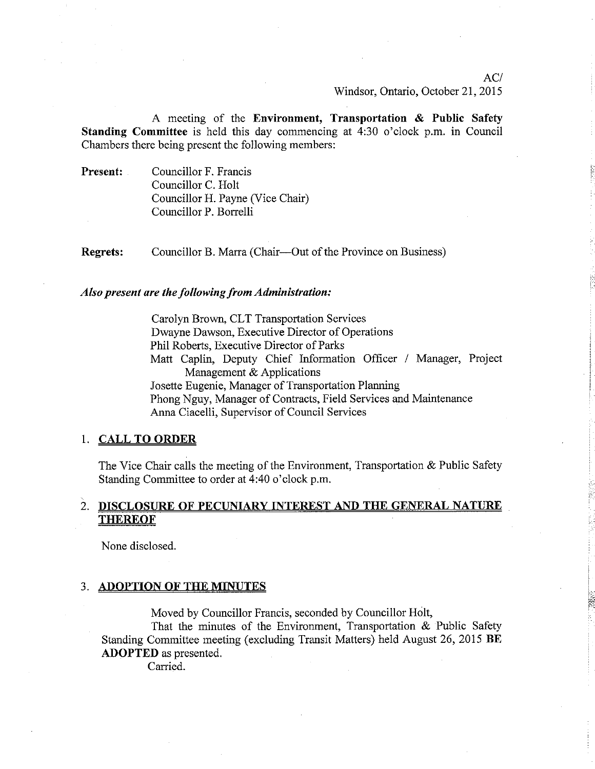ACI Windsor, Ontario, October 21, 2015

A meeting of the Environment, Transportation & Public Safefy Standing Committee is held this day commencing at 4:30 o'clock p.m. in Council Chambers there being present the following mernbers:

Present: Councillor F. Francis Councillor C. Holt Councillor H. Payne (Vice Chair) Councillor P. Borrelli

Regrets: Councillor B. Marra (Chair—Out of the Province on Business)

### Also present are the following from Administration:

Carolyn Brown, CLT Transportation Services Dwayne Dawson, Executive Director of Operations Phil Roberts, Executive Director of Parks Matt Caplin, Deputy Chief Information Officer / Manager, Project Management & Applications Josette Eugenie, Manager of Transportation Planning Phong Nguy, Manager of Contracts, Field Services and Maintenance Anna Ciacelli, Supervisor of Council Services

### 1. CALL TO ORDER

The Vice Chair calls the meeting of the Environment, Transportation  $\&$  Public Safety Standing Committee to order at 4:40 o'clock p.m.

# 2. DISCLOSURE OF PECUNIARY INTEREST AND THE GENERAL NATURE **THEREOF**

None disclosed.

#### 3. ADOPTION OF THE MINUTES

Moved by Councillor Francis, seconded by Councillor Holt,

That the minutes of the Environment, Transportation & Public Safety Standing Committee meeting (excluding Transit Matters) held August 26,2015 BE ADOPTED as presented.

Carried.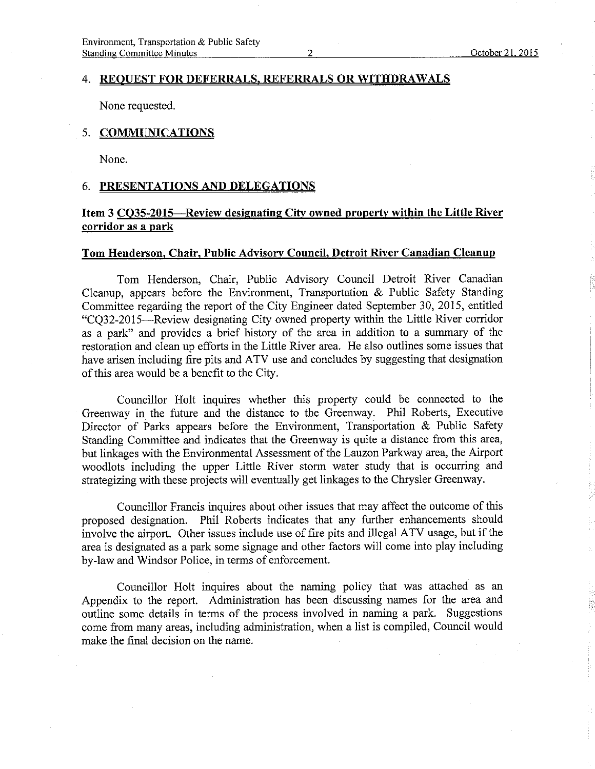#### 4. REOUEST FOR DEFERRALS, REFERRALS OR WITHDRAWALS

None requested.

## 5. <u>COMMUNICATIONS</u>

None.

### 6. PRESENTATIONS AND DELEGATIONS

# Item 3 CQ35-2015-Review designating City owned property within the Little River corridor as a park

### Tom Henderson, Chair. Public Advisorv Council. Detroit River Canadian Cleanup

Tom Henderson, Chair, Public Advisory Council Detroit River Canadian Cleanup, appears before the Environment, Transportation & Public Safety Standing Committee regarding the report of the City Engineer dated September 30, 2015, entitled "CQ32-2015-Review designating City owned property within the Little River corridor as a park" and provides a brief history of the area in addition to a summary of the restoration and clean up efforts in the Little River area. He also outlines some issues that have arisen including fire pits and ATV use and concludes by suggesting that designation of this area would be a benefit to the City.

Councillor Holt inquires whether this property could be connected to the Greenway in the future and the distance to the Greenway. Phil Roberts, Executive Director of Parks appears before the Environment, Transportation & Public Safety Standing Committee and indicates that the Greenway is quite a distance from this area, but linkages with the Environmental Assessment of the Lauzon Parkway area, the Airport woodlots including the upper Little River storm water study that is occurring and strategizing with these projects will eventually get linkages to the Chrysler Greenway.

Councillor Francis inquires about other issues that may affect the outcome of this proposed designation. Phil Roberts indicates that any further enhancements should involve the airport. Other issues include use of fire pits and illegal ATV usage, but if the area is designated as a park some signage and other factors will come into play including by-law and Windsor Police, in terms of enforcement.

Councillor Holt inquires about the naming policy that was attached as an Appendix to the report. Administration has been discussing names for the area and outline some details in terms of the process involved in naming a park. Suggestions come from many areas, including administration, when a list is compiled, Council would make the final decision on the name.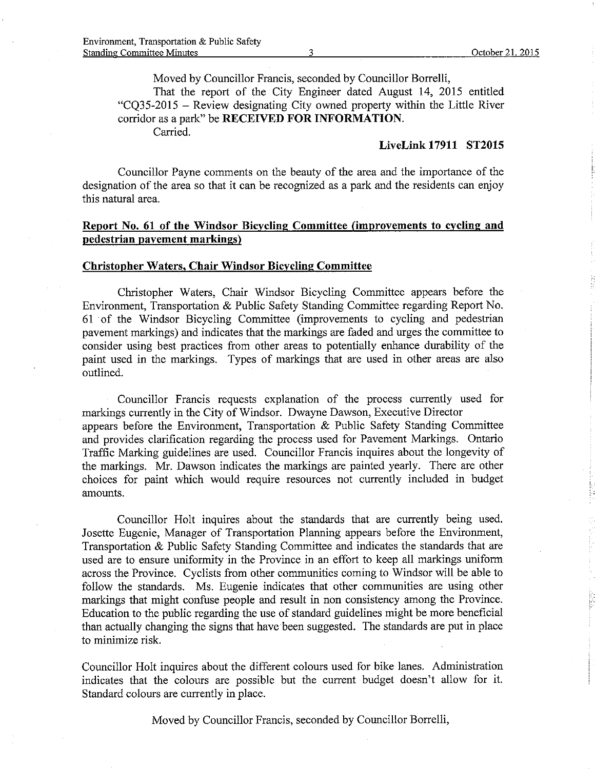Moved by Councillor Francis, seconded by Councillor Borrelli,

That the report of the City Engineer dated August 14, 2015 entitled "CQ35-2015 - Review designating City owned property within the Little River corridor as a park" be RECEIVED FOR INFORMATION. Carried.

### Livelink17911 ST2015

Councillor Payne comments on the beauty of the area and the importance of the designation of the area so that it can be recognized as a park and the residents can enjoy this natural area.

# Report No. 61 of the Windsor Bicycling Committee (improvements to cycling and pedestrian pavement markings)

### Christopher Waters, Chair Windsor Bicycling Committee

Christopher Waters, Chair Windsor Bicycling Committee appears before the Environment, Transportation & Public Safety Standing Committee regarding Report No. 61 of the Windsor Bicycling Committee (improvements to cycling and pedestrian pavement markings) and indicates that the markings are faded and urges the committee to consider using best practices from other areas to potentially enhance durability of the paint used in the markings. Types of markings that are used in other areas are also outlined.

Councillor Francis requests explanation of the process currently used for markings currently in the City of Windsor. Dwayne Dawson, Executive Director appears before the Environment, Transportation & Public Safety Standing Committee and provides clarification regarding the process used for Pavement Markings. Ontario Traffic Marking guidelines are used. Councillor Francis inquires about the longevity of the markings. Mr. Dawson indicates the markings are painted yearly. There are other choices for paint which would require resources not currently included in budget amounts.

Councillor Holt inquires about the standards that are currently being used. Josette Eugenie, Manager of Transportation Planning appears before the Environment, Transportation & Public Safety Standing Committee and indicates the standards that are used are to ensure uniformity in the Province in an effort to keep all markings uniform across the Province. Cyclists from other communities coming to Windsor will be able to follow the standards. Ms. Eugenie indicates that other communities are using other markings that might confuse people and result in non consistency among the Province. Education to the public regarding the use of standard guidelines might be more beneficial than actually changing the signs that have been suggested. The standards are put in place to minimize risk.

Councillor Holt inquires about the different colours used for bike lanes. Administration indicates that the colours are possible but the current budget doesn't allow for it. Standard colours are currently in place.

Moved by Counciilor Francis, seconded by Councillor Borrelli,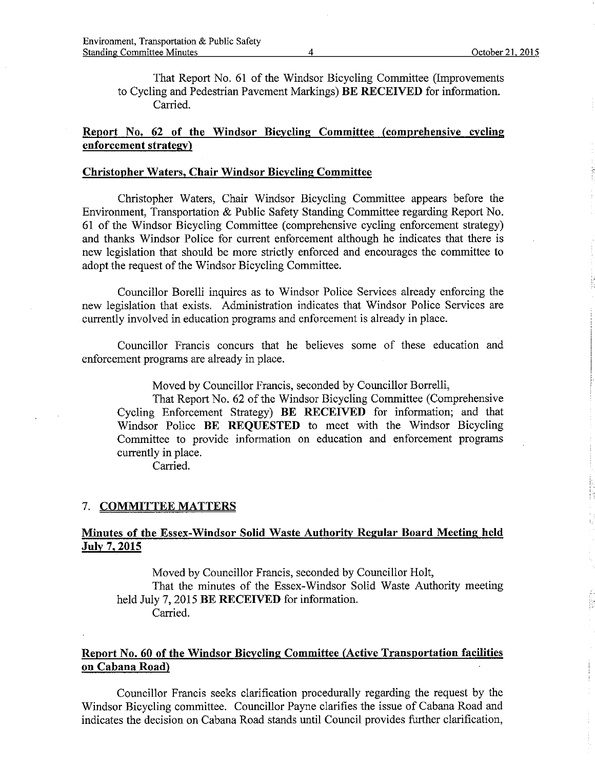That Report No. 61 of the Windsor Bicycling Committee (Improvements to Cycling and Pedestrian Pavement Markings) BE RECEIVED for information. Carried.

# Report No. 62 of the Windsor Bicycling Committee (comprehensive cvcling enforcement strategy)

### Christopher Waters. Chair Windsor Bicyclins Committee

Christopher Waters, Chair Windsor Bicycling Committee appears before the Environment, Transportation & Public Safety Standing Committee regarding Report No. 61 of the V/indsor Bicycling Committee (comprehensive cycling enforcement strategy) and thanks Windsor Police for current enforcement although he indicates that there is new legislation that should be more strictly enforced and encourages the committee to adopt the request of the Windsor Bicycling Committee.

Councillor Borelli inquires as to Windsor Police Services already enforcing the new legislation that exists. Administration indicates that Windsor Poiice Services are currently involved in education programs and enforcement is already in p1ace.

Counciilor Francis concurs that he believes some of these education and enforcement programs are already in place.

Moved by Councillor Francis, seconded by Councillor Borrelli,

That Report No. 62 of the Windsor Bicycling Committee (Comprehensive Cycling Enforcement Strategy) BE RECEIVED for information; and that Windsor Police **BE REQUESTED** to meet with the Windsor Bicycling Committee to provide information on education and enforcement programs currently in place.

Carried.

#### 7. COMMITTEE MATTERS

## Minutes of the Essex-Windsor Solid Waste Authority Regular Board Meeting held Julv 7.2015

Moved by Councillo¡ Francis, seconded by Councillor Holt, That the minutes of the Essex-Windsor Solid Waste Authority meeting held July 7, 2015 BE RECEIVED for information. Carried.

## Report No. 60 of the Windsor Bicycling Committee (Active Transportation facilities on Cabana Road)

Councillo¡ Francis seeks clarification procedurally regarding the request by the Windsor Bicycling committee. Councillor Payne clarifies the issue of Cabana Road and indicates the decision on Cabana Road stands until Council provides fufther clarification,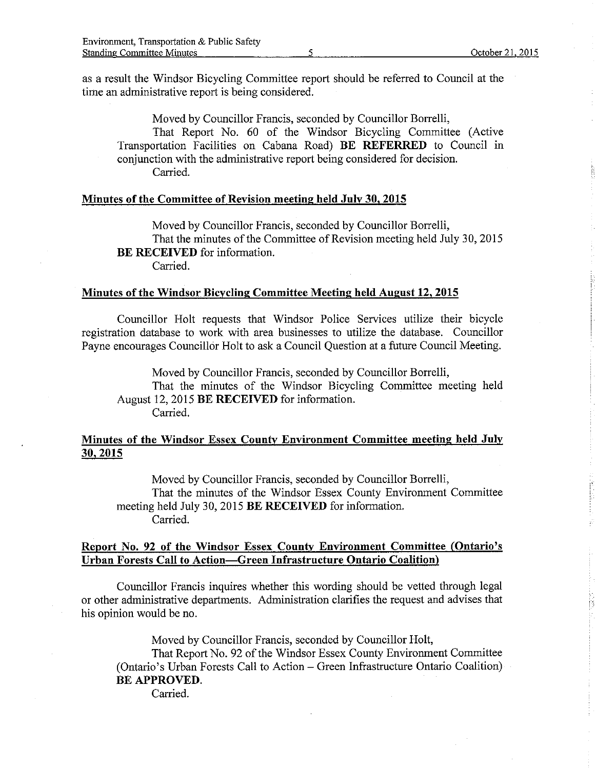as a result the Windsor Bicycling Committee report should be referred to Council at the time an administrative report is being considered.

Moved by Councillor Francis, seconded by Councillor Borrelli,

That Report No. 60 of the Windsor Bicycling Committee (Active Transportation Facilities on Cabana Road) BE REFERRED to Council in conjunction with the administrative report being considered for decision. Carried.

### Minutes of the Committee of Revision meeting held July 30, 2015

Moved by Councillor Francis, seconded by Councillor Borrelli, That the minutes of the Committee of Revision meeting held July 30,2015 BE RECEIVED for information. Carried.

#### Minutes of the Windsor Bicycling Committee Meeting held August 12, 2015

Councillor Holt requests that Windsor Police Services utilize their bicycle registration database to work with a¡ea businesses to utilize the database. Councillor Payne encourages Councillor Holt to ask a Council Question at a future Council Meeting.

Moved by Councillor Francis, seconded by Councillor Borreili, That the minutes of the Windsor Bicycling Committee meeting held August 12, 2015 BE RECEIVED for information. Carried.

## Minutes of the Windsor Essex County Environment Committee meeting held July 30,2015

Moved by Councillor Francis, seconded by Councillor Borrelli, That the minutes of the Windsor Essex County Environment Committee meeting held July 30, 2015 BE RECEIVED for information. Carried.

### Report No. 92 of the Windsor Essex County Environment Committee (Ontario's Urban Forests Call to Action-Green Infrastructure Ontario Coalition)

Councillor Francis inquires whether this wording should be vetted through iegal or other administrative departments. Administration clarifies the request and advises that his opinion would be no.

Moved by Councillor Francis, seconded by Councillor Holt, That Report No. 92 of the Windsor Essex County Environment Committee (Ontario's Urban Forests Call to Action - Green Infrastructure Ontario Coalition) BE APPROVED.

Carried.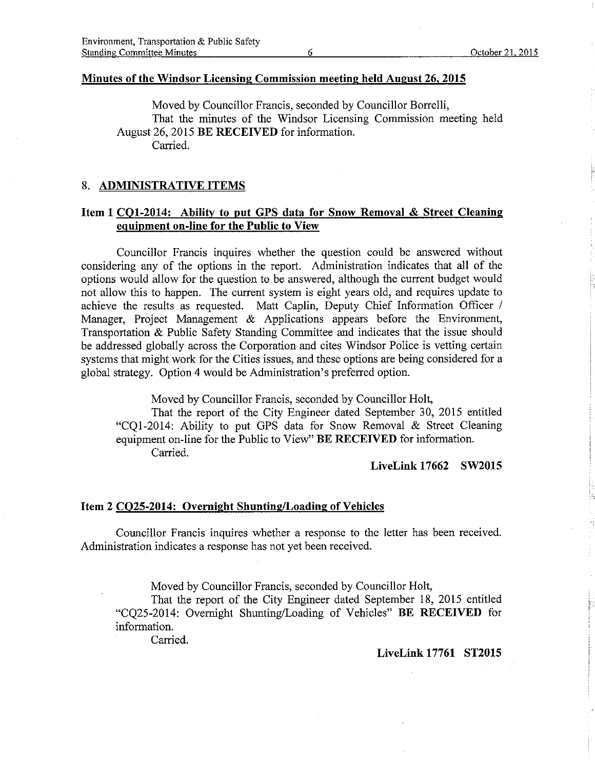### Minutes of the Windsor Licensing Commission meeting held August 26, 2015

Moved by Councillor Francis, seconded by Councillor Borrelli, That the minutes of the Windsor Licensing Commission meetìng held August 26, 2015 BE RECEIVED for information. Carried.

#### 8. ADMINISTRATIVE ITEMS

## Item 1 CQ1-2014: Ability to put GPS data for Snow Removal & Street Cleaning equipment on-line for the Public to View

Councillor Francis inquires whether the question could be answered without considering any of the options in the report. Administration indicates that all of the options would allow for the question to be answered, although the current budget would not allow this to happen. The current system is eight years old, and requires update to achieve the results as requested. Matt Caplin, Deputy Chief Information Officer / Manager, Project Management & Applications appears before the Environment, Transportation & Public Safety Standing Committee and indicates that the issue should be addressed globally across the Corporation and cites Windsor Police is vetting certain systems that might work for the Cities issues, and these options are being considered for a global strategy. Option 4 would be Administration's preferred option.

Moved by Councillor Francis, seconded by Councillor Holt,

That the report of the City Engineer dated September 30, 2015 entitled "CQ1-2014: Ability to put GPS dafa fot Snow Removal & Street Cleaning equipment on-line for the Public to View" BE RECEIVED for information. Carried.

### Livelink 17662 SW2015

#### Item 2 CQ25-2014: Overnight Shunting/Loading of Vehicles

Councillor Francis inquires whether a response to the letter has been received. Administration indicates a response has not yet been received.

Moved by Councillor Francis, seconded by Councillor Holt,

That the report of the City Engineer dated September 18, 2015 entitled "CQ25-2014: Ovemight Shunting/Loading of Vehicles" BE RECEIVED for information.

Carried.

#### Livelink 17761 ST20l5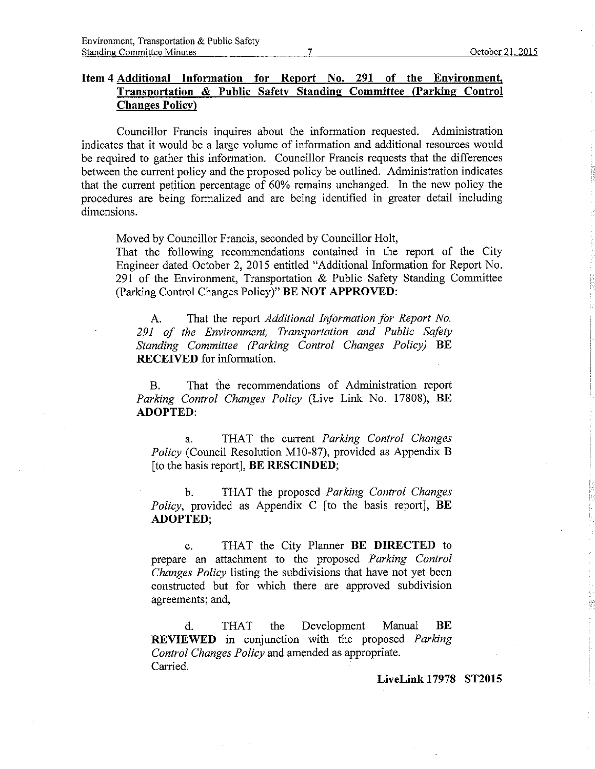## Item 4 Additional Information for Report No. 291 of the Environment. Transportation & Public Safety Standing Committee (Parking Control **Changes Policy**)

Councillor Francis inquires about the information requested. Administration indicates that it would be a large volume of information and additional resowces would be required to gather this information. Councillor Francis requests that the differences between the current policy and the proposed policy be outlined. Administrafion indicates that the current petition percentage of  $60\%$  remains unchanged. In the new policy the procedures are being formalized and are being identified in greater detail including dimensions.

Moved by Councillor Francis, seconded by Councillor Holt,

That the following recommendations contained in the report of the City Engineer dated October 2,2015 entitled "Additional Information for Report No. 291 of the Environment, Transportation & Public Safety Standing Committee (Parking Control Changes Policy)" BE NOT APPROVED:

A. That the report Additional Information for Report No. 291 of the Environment, Transportation and Public Safety Standing Committee (Parking Control Changes Policy) BE RECEIVED for information.

B. That ihe recommendations of Administration report Parking Control Changes Policy (Live Link No. 17808), BE ADOPTED:

a. THAT the current Parking Control Changes Policy (Council Resolution M10-87), provided as Appendix B [to the basis report], BE RESCINDED;

b. THAT the proposed Parking Control Changes Policy, provided as Appendix C [to the basis report], BE ADOPTED;

c. TFIAT the City Planner BE DIRECTED to prepare an attachment to the proposed Parking Control Changes Policy listing the subdivisions that have not yet been constructed but for which there are approved subdivision agreements; and,

d. THAT the Development Manual BE REVIEWED in conjunction with the proposed Parking Control Changes Policy and amended as appropriate. Carried.

Livelink 17978 ST2015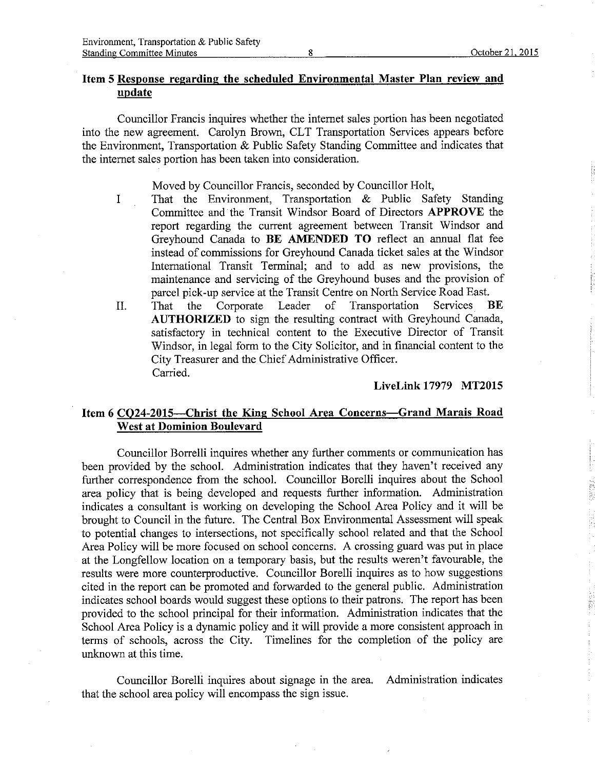## Item 5 Response regardinq the scheduled Environmental Master Plan review and update

Councillor Francis inquires whether the internet sales portion has been negotiated into the new agreement. Carolyn Brown, CLT Transportation Services appears before the Environment, Transportation & Public Safety Standing Committee and indicates that the intemet sales portion has been taken into consideration.

Moved by Councillor Francis, seconded by Councillor Holt,

- I That the Environment, Transportation & Public Safety Standing Committee and the Transit Windsor Board of Directors APPROVE the report regarding the current agreement between Transit Windsor and Greyhound Canada to BE AMENDED TO reflect an arurual flat fee instead of commissions for Greyhound Canada ticket sales at the Windsor Intemational Transit Terminal; and to add as new provisions, the maintenance and servicing of the Greyhound buses and the provision of parcel pick-up service at the Transit Centre on North Service Road East.<br>That the Corporate Leader of Transportation Services I
- II. That the Corporate Leader of Transportation Services BE AUTHORIZED to sign the resulting contract with Greyhound Canada, satisfactory in technical content to the Executive Director of Transit Windsor, in legal form to the City Solicitor, and in financial content to the City Treasurer and the Chief Administrative Officer. Carried.

#### Livelink 17979 MT20I5

## Item 6 CQ24-2015-Christ the King School Area Concerns-Grand Marais Road West at Dominion Boulevard

Councillor Borrelli inquires whether any further comments or communication has been provided by the school. Administration indicates that they haven't received any further correspondence from the school. Councillor Borelli inquires about the School area policy that is being developed and requests further information. Administration indicates a consultant is working on developing the School Area Policy and it will be brought to Council in the future. The Central Box Environmental Assessment will speak to potential changes to intersections, not specifically school related and that the School Area Policy wili be more focused on school concems. A crossing guard was put in piace at the Longfellow location on a temporary basis, but the results weren't favourable, the results were more counterproductive. Councillor Borelli inquires as to how suggestions cited in the report can be promoted and forwarded to the general public. Administration indicates school boards would suggest these options to their patrons. The report has been provided to the school principal for their information. Administration indicates that the School Area Policy is a dynamic policy and it will provide a more consistent approach in terms of schools, across the City. Timelines for the completion of the policy are unknown at this time.

Councillor Borelli inquires about signage in the area. Administration indicates that the school area policy will encompass the sign issue.